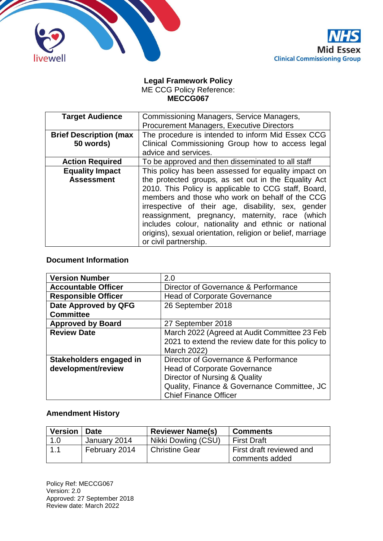



#### **Legal Framework Policy** ME CCG Policy Reference: **MECCG067**

| <b>Target Audience</b>                      | Commissioning Managers, Service Managers,<br><b>Procurement Managers, Executive Directors</b>                                                                                                                                                                                                                                                                                                                                                                                     |  |
|---------------------------------------------|-----------------------------------------------------------------------------------------------------------------------------------------------------------------------------------------------------------------------------------------------------------------------------------------------------------------------------------------------------------------------------------------------------------------------------------------------------------------------------------|--|
| <b>Brief Description (max</b><br>50 words)  | The procedure is intended to inform Mid Essex CCG<br>Clinical Commissioning Group how to access legal<br>advice and services.                                                                                                                                                                                                                                                                                                                                                     |  |
| <b>Action Required</b>                      | To be approved and then disseminated to all staff                                                                                                                                                                                                                                                                                                                                                                                                                                 |  |
| <b>Equality Impact</b><br><b>Assessment</b> | This policy has been assessed for equality impact on<br>the protected groups, as set out in the Equality Act<br>2010. This Policy is applicable to CCG staff, Board,<br>members and those who work on behalf of the CCG<br>irrespective of their age, disability, sex, gender<br>reassignment, pregnancy, maternity, race<br>(which<br>includes colour, nationality and ethnic or national<br>origins), sexual orientation, religion or belief, marriage<br>or civil partnership. |  |

## **Document Information**

| <b>Version Number</b>      | 2.0                                               |  |
|----------------------------|---------------------------------------------------|--|
| <b>Accountable Officer</b> | Director of Governance & Performance              |  |
| <b>Responsible Officer</b> | <b>Head of Corporate Governance</b>               |  |
| Date Approved by QFG       | 26 September 2018                                 |  |
| <b>Committee</b>           |                                                   |  |
| <b>Approved by Board</b>   | 27 September 2018                                 |  |
| <b>Review Date</b>         | March 2022 (Agreed at Audit Committee 23 Feb      |  |
|                            | 2021 to extend the review date for this policy to |  |
|                            | March 2022)                                       |  |
| Stakeholders engaged in    | Director of Governance & Performance              |  |
| development/review         | <b>Head of Corporate Governance</b>               |  |
|                            | Director of Nursing & Quality                     |  |
|                            | Quality, Finance & Governance Committee, JC       |  |
|                            | <b>Chief Finance Officer</b>                      |  |

# **Amendment History**

| <b>Version</b> | <b>Date</b>   | <b>Reviewer Name(s)</b> | <b>Comments</b>                            |
|----------------|---------------|-------------------------|--------------------------------------------|
| 1.0            | January 2014  | Nikki Dowling (CSU)     | <b>First Draft</b>                         |
|                | February 2014 | <b>Christine Gear</b>   | First draft reviewed and<br>comments added |

Policy Ref: MECCG067 Version: 2.0 Approved: 27 September 2018 Review date: March 2022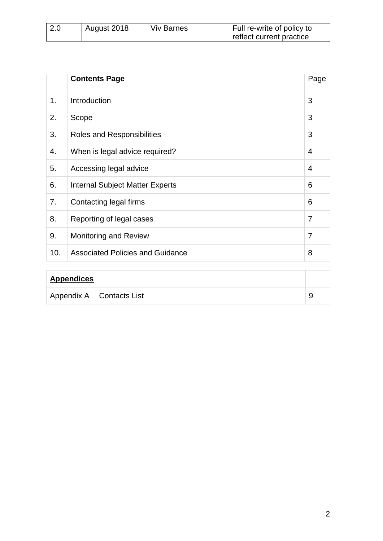| 2.0 | August 2018 | <b>Viv Barnes</b> | Full re-write of policy to |
|-----|-------------|-------------------|----------------------------|
|     |             |                   | reflect current practice   |

|                | <b>Contents Page</b>                    | Page           |
|----------------|-----------------------------------------|----------------|
| 1 <sub>1</sub> | Introduction                            | 3              |
| 2.             | Scope                                   | 3              |
| 3.             | Roles and Responsibilities              | 3              |
| 4.             | When is legal advice required?          | 4              |
| 5.             | Accessing legal advice                  | 4              |
| 6.             | <b>Internal Subject Matter Experts</b>  | 6              |
| 7.             | Contacting legal firms                  | 6              |
| 8.             | Reporting of legal cases                | 7              |
| 9.             | <b>Monitoring and Review</b>            | $\overline{7}$ |
| 10.            | <b>Associated Policies and Guidance</b> | 8              |

| <b>Appendices</b> |                            |  |
|-------------------|----------------------------|--|
|                   | Appendix A   Contacts List |  |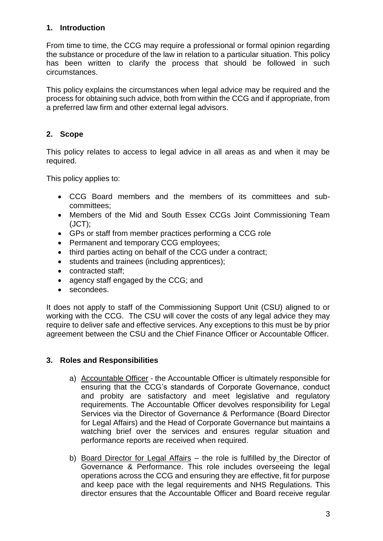## **1. Introduction**

From time to time, the CCG may require a professional or formal opinion regarding the substance or procedure of the law in relation to a particular situation. This policy has been written to clarify the process that should be followed in such circumstances.

This policy explains the circumstances when legal advice may be required and the process for obtaining such advice, both from within the CCG and if appropriate, from a preferred law firm and other external legal advisors.

## **2. Scope**

This policy relates to access to legal advice in all areas as and when it may be required.

This policy applies to:

- CCG Board members and the members of its committees and subcommittees;
- Members of the Mid and South Essex CCGs Joint Commissioning Team (JCT);
- GPs or staff from member practices performing a CCG role
- Permanent and temporary CCG employees;
- third parties acting on behalf of the CCG under a contract;
- students and trainees (including apprentices);
- contracted staff;
- agency staff engaged by the CCG; and
- secondees.

It does not apply to staff of the Commissioning Support Unit (CSU) aligned to or working with the CCG. The CSU will cover the costs of any legal advice they may require to deliver safe and effective services. Any exceptions to this must be by prior agreement between the CSU and the Chief Finance Officer or Accountable Officer.

## **3. Roles and Responsibilities**

- a) Accountable Officer the Accountable Officer is ultimately responsible for ensuring that the CCG's standards of Corporate Governance, conduct and probity are satisfactory and meet legislative and regulatory requirements. The Accountable Officer devolves responsibility for Legal Services via the Director of Governance & Performance (Board Director for Legal Affairs) and the Head of Corporate Governance but maintains a watching brief over the services and ensures regular situation and performance reports are received when required.
- b) Board Director for Legal Affairs the role is fulfilled by the Director of Governance & Performance. This role includes overseeing the legal operations across the CCG and ensuring they are effective, fit for purpose and keep pace with the legal requirements and NHS Regulations. This director ensures that the Accountable Officer and Board receive regular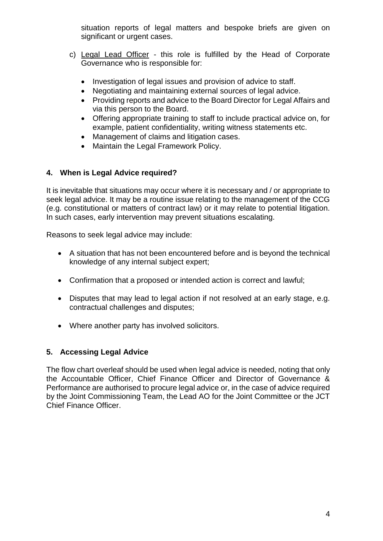situation reports of legal matters and bespoke briefs are given on significant or urgent cases.

- c) Legal Lead Officer this role is fulfilled by the Head of Corporate Governance who is responsible for:
	- Investigation of legal issues and provision of advice to staff.
	- Negotiating and maintaining external sources of legal advice.
	- Providing reports and advice to the Board Director for Legal Affairs and via this person to the Board.
	- Offering appropriate training to staff to include practical advice on, for example, patient confidentiality, writing witness statements etc.
	- Management of claims and litigation cases.
	- Maintain the Legal Framework Policy.

## **4. When is Legal Advice required?**

It is inevitable that situations may occur where it is necessary and / or appropriate to seek legal advice. It may be a routine issue relating to the management of the CCG (e.g. constitutional or matters of contract law) or it may relate to potential litigation. In such cases, early intervention may prevent situations escalating.

Reasons to seek legal advice may include:

- A situation that has not been encountered before and is beyond the technical knowledge of any internal subject expert;
- Confirmation that a proposed or intended action is correct and lawful;
- Disputes that may lead to legal action if not resolved at an early stage, e.g. contractual challenges and disputes;
- Where another party has involved solicitors.

## **5. Accessing Legal Advice**

The flow chart overleaf should be used when legal advice is needed, noting that only the Accountable Officer, Chief Finance Officer and Director of Governance & Performance are authorised to procure legal advice or, in the case of advice required by the Joint Commissioning Team, the Lead AO for the Joint Committee or the JCT Chief Finance Officer.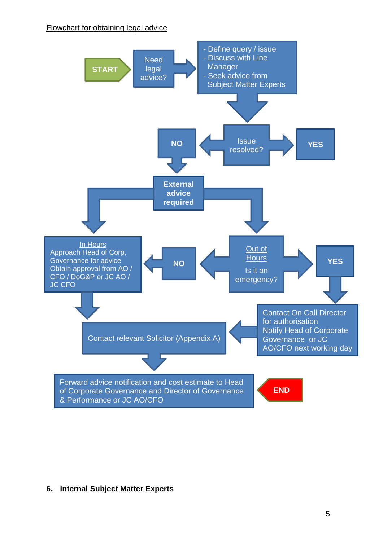#### Flowchart for obtaining legal advice



#### **6. Internal Subject Matter Experts**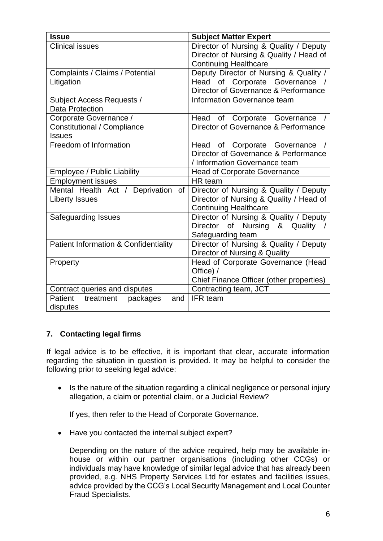| <b>Issue</b>                                     | <b>Subject Matter Expert</b>             |
|--------------------------------------------------|------------------------------------------|
| <b>Clinical issues</b>                           | Director of Nursing & Quality / Deputy   |
|                                                  | Director of Nursing & Quality / Head of  |
|                                                  | <b>Continuing Healthcare</b>             |
| Complaints / Claims / Potential                  | Deputy Director of Nursing & Quality /   |
| Litigation                                       | Head of Corporate Governance /           |
|                                                  | Director of Governance & Performance     |
| Subject Access Requests /                        | Information Governance team              |
| <b>Data Protection</b>                           |                                          |
| Corporate Governance /                           | Head of Corporate Governance             |
| Constitutional / Compliance                      | Director of Governance & Performance     |
| <b>Issues</b>                                    |                                          |
| Freedom of Information                           | Head of Corporate Governance             |
|                                                  | Director of Governance & Performance     |
|                                                  | / Information Governance team            |
| Employee / Public Liability                      | <b>Head of Corporate Governance</b>      |
| <b>Employment issues</b>                         | HR team                                  |
| Mental Health Act / Deprivation<br>0f            | Director of Nursing & Quality / Deputy   |
| <b>Liberty Issues</b>                            | Director of Nursing & Quality / Head of  |
|                                                  | <b>Continuing Healthcare</b>             |
| Safeguarding Issues                              | Director of Nursing & Quality / Deputy   |
|                                                  | Director of Nursing & Quality            |
|                                                  | Safeguarding team                        |
| <b>Patient Information &amp; Confidentiality</b> | Director of Nursing & Quality / Deputy   |
|                                                  | Director of Nursing & Quality            |
| Property                                         | Head of Corporate Governance (Head       |
|                                                  | Office) /                                |
|                                                  | Chief Finance Officer (other properties) |
| Contract queries and disputes                    | Contracting team, JCT                    |
| <b>Patient</b><br>packages<br>treatment<br>and   | IFR team                                 |
| disputes                                         |                                          |

## **7. Contacting legal firms**

If legal advice is to be effective, it is important that clear, accurate information regarding the situation in question is provided. It may be helpful to consider the following prior to seeking legal advice:

• Is the nature of the situation regarding a clinical negligence or personal injury allegation, a claim or potential claim, or a Judicial Review?

If yes, then refer to the Head of Corporate Governance.

• Have you contacted the internal subject expert?

Depending on the nature of the advice required, help may be available inhouse or within our partner organisations (including other CCGs) or individuals may have knowledge of similar legal advice that has already been provided, e.g. NHS Property Services Ltd for estates and facilities issues, advice provided by the CCG's Local Security Management and Local Counter Fraud Specialists.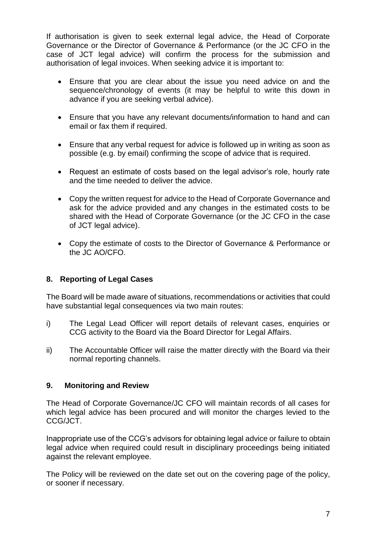If authorisation is given to seek external legal advice, the Head of Corporate Governance or the Director of Governance & Performance (or the JC CFO in the case of JCT legal advice) will confirm the process for the submission and authorisation of legal invoices. When seeking advice it is important to:

- Ensure that you are clear about the issue you need advice on and the sequence/chronology of events (it may be helpful to write this down in advance if you are seeking verbal advice).
- Ensure that you have any relevant documents/information to hand and can email or fax them if required.
- Ensure that any verbal request for advice is followed up in writing as soon as possible (e.g. by email) confirming the scope of advice that is required.
- Request an estimate of costs based on the legal advisor's role, hourly rate and the time needed to deliver the advice.
- Copy the written request for advice to the Head of Corporate Governance and ask for the advice provided and any changes in the estimated costs to be shared with the Head of Corporate Governance (or the JC CFO in the case of JCT legal advice).
- Copy the estimate of costs to the Director of Governance & Performance or the JC AO/CFO.

#### **8. Reporting of Legal Cases**

The Board will be made aware of situations, recommendations or activities that could have substantial legal consequences via two main routes:

- i) The Legal Lead Officer will report details of relevant cases, enquiries or CCG activity to the Board via the Board Director for Legal Affairs.
- ii) The Accountable Officer will raise the matter directly with the Board via their normal reporting channels.

#### **9. Monitoring and Review**

The Head of Corporate Governance/JC CFO will maintain records of all cases for which legal advice has been procured and will monitor the charges levied to the CCG/JCT.

Inappropriate use of the CCG's advisors for obtaining legal advice or failure to obtain legal advice when required could result in disciplinary proceedings being initiated against the relevant employee.

The Policy will be reviewed on the date set out on the covering page of the policy, or sooner if necessary.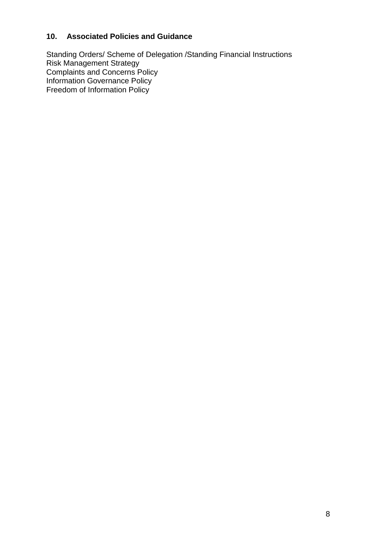# **10. Associated Policies and Guidance**

Standing Orders/ Scheme of Delegation /Standing Financial Instructions Risk Management Strategy Complaints and Concerns Policy Information Governance Policy Freedom of Information Policy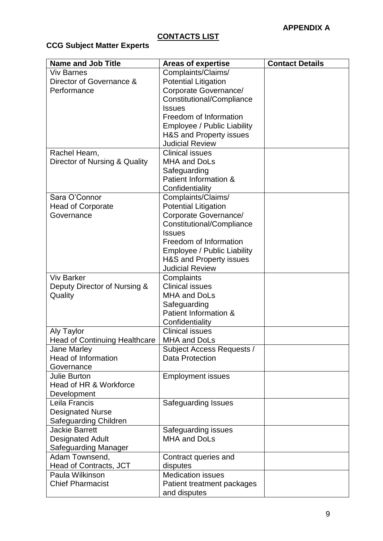# **CONTACTS LIST**

# **CCG Subject Matter Experts**

| <b>Name and Job Title</b>                                 | <b>Areas of expertise</b>                     | <b>Contact Details</b> |
|-----------------------------------------------------------|-----------------------------------------------|------------------------|
| <b>Viv Barnes</b>                                         | Complaints/Claims/                            |                        |
| Director of Governance &                                  | <b>Potential Litigation</b>                   |                        |
| Performance                                               | Corporate Governance/                         |                        |
|                                                           | Constitutional/Compliance                     |                        |
|                                                           | <b>Issues</b>                                 |                        |
|                                                           | Freedom of Information                        |                        |
|                                                           | Employee / Public Liability                   |                        |
|                                                           | H&S and Property issues                       |                        |
|                                                           | <b>Judicial Review</b>                        |                        |
| Rachel Hearn,                                             | <b>Clinical issues</b><br><b>MHA and DoLs</b> |                        |
| Director of Nursing & Quality                             |                                               |                        |
|                                                           | Safeguarding<br>Patient Information &         |                        |
|                                                           | Confidentiality                               |                        |
| Sara O'Connor                                             | Complaints/Claims/                            |                        |
| <b>Head of Corporate</b>                                  | <b>Potential Litigation</b>                   |                        |
| Governance                                                | Corporate Governance/                         |                        |
|                                                           | Constitutional/Compliance                     |                        |
|                                                           | <b>Issues</b>                                 |                        |
|                                                           | Freedom of Information                        |                        |
|                                                           | Employee / Public Liability                   |                        |
|                                                           | H&S and Property issues                       |                        |
|                                                           | <b>Judicial Review</b>                        |                        |
| <b>Viv Barker</b>                                         | Complaints                                    |                        |
| Deputy Director of Nursing &                              | <b>Clinical issues</b>                        |                        |
| Quality                                                   | <b>MHA and DoLs</b>                           |                        |
|                                                           | Safeguarding                                  |                        |
|                                                           | Patient Information &                         |                        |
|                                                           | Confidentiality<br><b>Clinical issues</b>     |                        |
| <b>Aly Taylor</b><br><b>Head of Continuing Healthcare</b> | <b>MHA and DoLs</b>                           |                        |
| Jane Marley                                               | Subject Access Requests /                     |                        |
| <b>Head of Information</b>                                | <b>Data Protection</b>                        |                        |
| Governance                                                |                                               |                        |
| <b>Julie Burton</b>                                       | <b>Employment issues</b>                      |                        |
| Head of HR & Workforce                                    |                                               |                        |
| Development                                               |                                               |                        |
| Leila Francis                                             | Safeguarding Issues                           |                        |
| <b>Designated Nurse</b>                                   |                                               |                        |
| Safeguarding Children                                     |                                               |                        |
| <b>Jackie Barrett</b>                                     | Safeguarding issues                           |                        |
| <b>Designated Adult</b>                                   | <b>MHA and DoLs</b>                           |                        |
| Safeguarding Manager                                      |                                               |                        |
| Adam Townsend,                                            | Contract queries and                          |                        |
| Head of Contracts, JCT<br>Paula Wilkinson                 | disputes<br><b>Medication issues</b>          |                        |
| <b>Chief Pharmacist</b>                                   | Patient treatment packages                    |                        |
|                                                           | and disputes                                  |                        |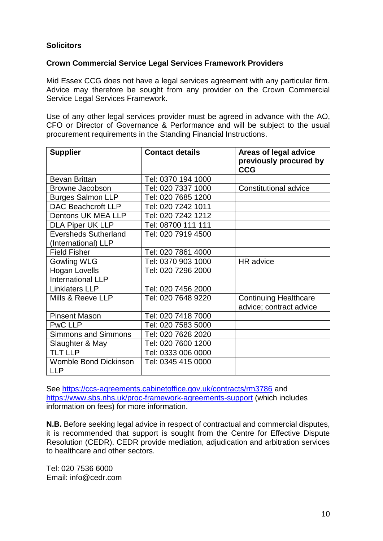## **Solicitors**

## **Crown Commercial Service Legal Services Framework Providers**

Mid Essex CCG does not have a legal services agreement with any particular firm. Advice may therefore be sought from any provider on the Crown Commercial Service Legal Services Framework.

Use of any other legal services provider must be agreed in advance with the AO, CFO or Director of Governance & Performance and will be subject to the usual procurement requirements in the Standing Financial Instructions.

| <b>Supplier</b>                                    | <b>Contact details</b> | Areas of legal advice<br>previously procured by<br><b>CCG</b> |
|----------------------------------------------------|------------------------|---------------------------------------------------------------|
| <b>Bevan Brittan</b>                               | Tel: 0370 194 1000     |                                                               |
| Browne Jacobson                                    | Tel: 020 7337 1000     | <b>Constitutional advice</b>                                  |
| <b>Burges Salmon LLP</b>                           | Tel: 020 7685 1200     |                                                               |
| <b>DAC Beachcroft LLP</b>                          | Tel: 020 7242 1011     |                                                               |
| Dentons UK MEA LLP                                 | Tel: 020 7242 1212     |                                                               |
| <b>DLA Piper UK LLP</b>                            | Tel: 08700 111 111     |                                                               |
| <b>Eversheds Sutherland</b><br>(International) LLP | Tel: 020 7919 4500     |                                                               |
| <b>Field Fisher</b>                                | Tel: 020 7861 4000     |                                                               |
| <b>Gowling WLG</b>                                 | Tel: 0370 903 1000     | HR advice                                                     |
| <b>Hogan Lovells</b><br>International LLP          | Tel: 020 7296 2000     |                                                               |
| <b>Linklaters LLP</b>                              | Tel: 020 7456 2000     |                                                               |
| Mills & Reeve LLP                                  | Tel: 020 7648 9220     | <b>Continuing Healthcare</b><br>advice; contract advice       |
| <b>Pinsent Mason</b>                               | Tel: 020 7418 7000     |                                                               |
| <b>PwC LLP</b>                                     | Tel: 020 7583 5000     |                                                               |
| <b>Simmons and Simmons</b>                         | Tel: 020 7628 2020     |                                                               |
| Slaughter & May                                    | Tel: 020 7600 1200     |                                                               |
| <b>TLT LLP</b>                                     | Tel: 0333 006 0000     |                                                               |
| <b>Womble Bond Dickinson</b><br><b>LLP</b>         | Tel: 0345 415 0000     |                                                               |

See<https://ccs-agreements.cabinetoffice.gov.uk/contracts/rm3786> and <https://www.sbs.nhs.uk/proc-framework-agreements-support> (which includes information on fees) for more information.

**N.B.** Before seeking legal advice in respect of contractual and commercial disputes, it is recommended that support is sought from the Centre for Effective Dispute Resolution (CEDR). CEDR provide mediation, adjudication and arbitration services to healthcare and other sectors.

Tel: 020 7536 6000 Email: info@cedr.com